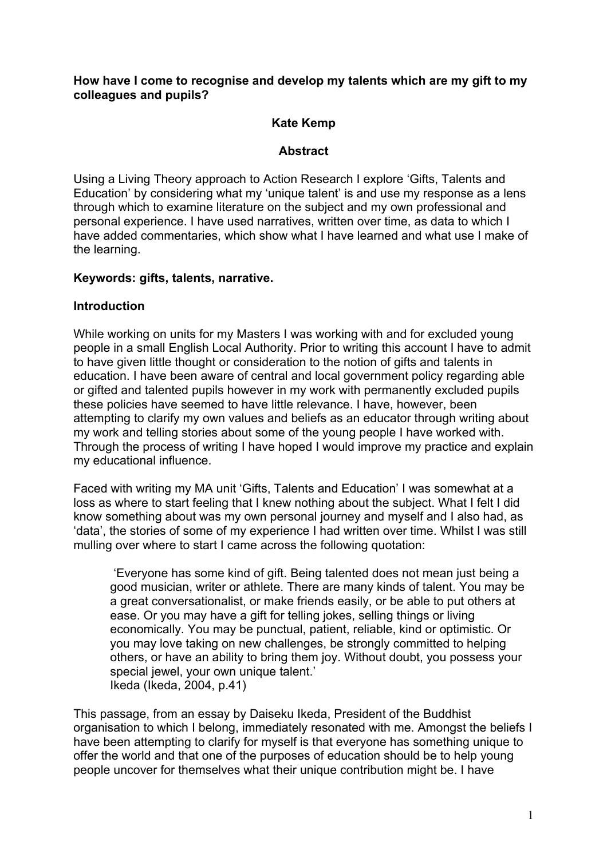#### **How have I come to recognise and develop my talents which are my gift to my colleagues and pupils?**

## **Kate Kemp**

## **Abstract**

Using a Living Theory approach to Action Research I explore 'Gifts, Talents and Education' by considering what my 'unique talent' is and use my response as a lens through which to examine literature on the subject and my own professional and personal experience. I have used narratives, written over time, as data to which I have added commentaries, which show what I have learned and what use I make of the learning.

### **Keywords: gifts, talents, narrative.**

### **Introduction**

While working on units for my Masters I was working with and for excluded young people in a small English Local Authority. Prior to writing this account I have to admit to have given little thought or consideration to the notion of gifts and talents in education. I have been aware of central and local government policy regarding able or gifted and talented pupils however in my work with permanently excluded pupils these policies have seemed to have little relevance. I have, however, been attempting to clarify my own values and beliefs as an educator through writing about my work and telling stories about some of the young people I have worked with. Through the process of writing I have hoped I would improve my practice and explain my educational influence.

Faced with writing my MA unit 'Gifts, Talents and Education' I was somewhat at a loss as where to start feeling that I knew nothing about the subject. What I felt I did know something about was my own personal journey and myself and I also had, as 'data', the stories of some of my experience I had written over time. Whilst I was still mulling over where to start I came across the following quotation:

'Everyone has some kind of gift. Being talented does not mean just being a good musician, writer or athlete. There are many kinds of talent. You may be a great conversationalist, or make friends easily, or be able to put others at ease. Or you may have a gift for telling jokes, selling things or living economically. You may be punctual, patient, reliable, kind or optimistic. Or you may love taking on new challenges, be strongly committed to helping others, or have an ability to bring them joy. Without doubt, you possess your special jewel, your own unique talent.' Ikeda (Ikeda, 2004, p.41)

This passage, from an essay by Daiseku Ikeda, President of the Buddhist organisation to which I belong, immediately resonated with me. Amongst the beliefs I have been attempting to clarify for myself is that everyone has something unique to offer the world and that one of the purposes of education should be to help young people uncover for themselves what their unique contribution might be. I have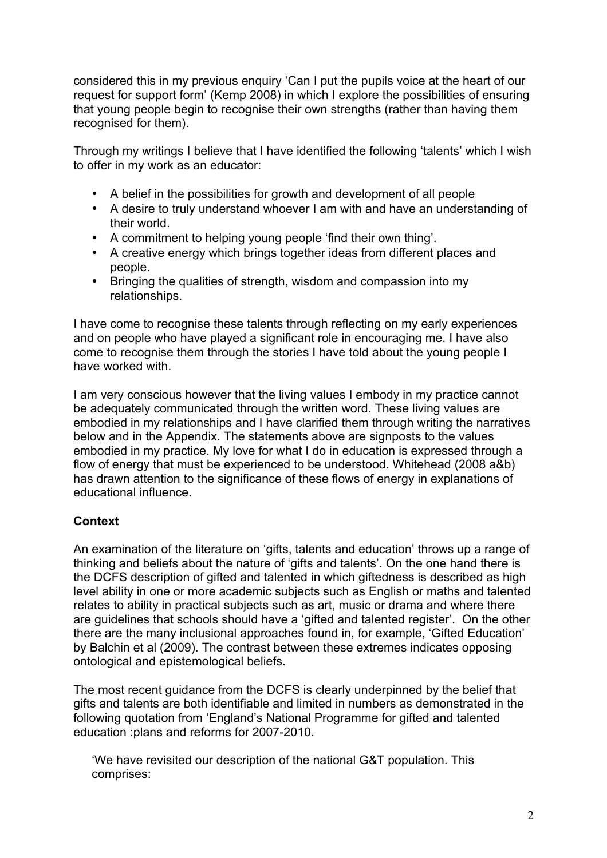considered this in my previous enquiry 'Can I put the pupils voice at the heart of our request for support form' (Kemp 2008) in which I explore the possibilities of ensuring that young people begin to recognise their own strengths (rather than having them recognised for them).

Through my writings I believe that I have identified the following 'talents' which I wish to offer in my work as an educator:

- A belief in the possibilities for growth and development of all people
- A desire to truly understand whoever I am with and have an understanding of their world.
- A commitment to helping young people 'find their own thing'.
- A creative energy which brings together ideas from different places and people.
- Bringing the qualities of strength, wisdom and compassion into my relationships.

I have come to recognise these talents through reflecting on my early experiences and on people who have played a significant role in encouraging me. I have also come to recognise them through the stories I have told about the young people I have worked with.

I am very conscious however that the living values I embody in my practice cannot be adequately communicated through the written word. These living values are embodied in my relationships and I have clarified them through writing the narratives below and in the Appendix. The statements above are signposts to the values embodied in my practice. My love for what I do in education is expressed through a flow of energy that must be experienced to be understood. Whitehead (2008 a&b) has drawn attention to the significance of these flows of energy in explanations of educational influence.

## **Context**

An examination of the literature on 'gifts, talents and education' throws up a range of thinking and beliefs about the nature of 'gifts and talents'. On the one hand there is the DCFS description of gifted and talented in which giftedness is described as high level ability in one or more academic subjects such as English or maths and talented relates to ability in practical subjects such as art, music or drama and where there are guidelines that schools should have a 'gifted and talented register'. On the other there are the many inclusional approaches found in, for example, 'Gifted Education' by Balchin et al (2009). The contrast between these extremes indicates opposing ontological and epistemological beliefs.

The most recent guidance from the DCFS is clearly underpinned by the belief that gifts and talents are both identifiable and limited in numbers as demonstrated in the following quotation from 'England's National Programme for gifted and talented education :plans and reforms for 2007-2010.

'We have revisited our description of the national G&T population. This comprises: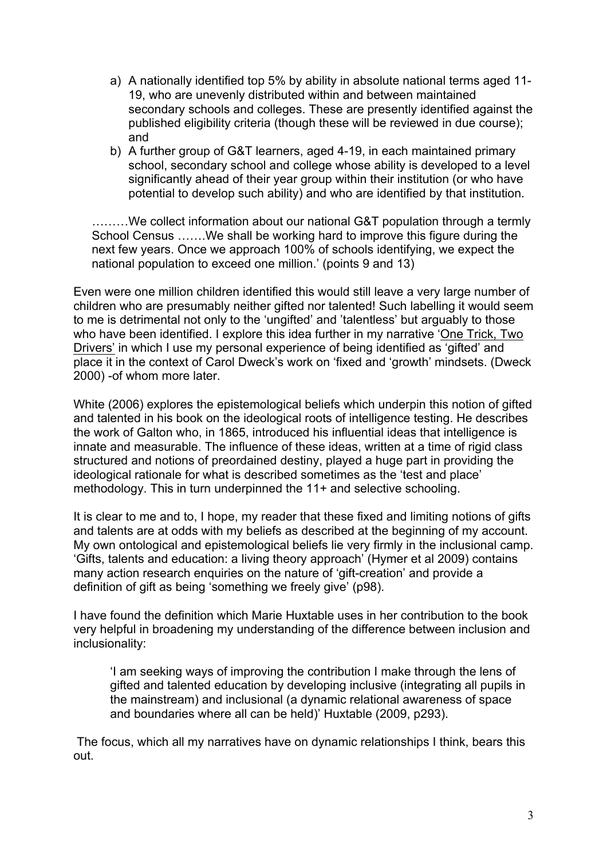- a) A nationally identified top 5% by ability in absolute national terms aged 11- 19, who are unevenly distributed within and between maintained secondary schools and colleges. These are presently identified against the published eligibility criteria (though these will be reviewed in due course); and
- b) A further group of G&T learners, aged 4-19, in each maintained primary school, secondary school and college whose ability is developed to a level significantly ahead of their year group within their institution (or who have potential to develop such ability) and who are identified by that institution.

………We collect information about our national G&T population through a termly School Census …….We shall be working hard to improve this figure during the next few years. Once we approach 100% of schools identifying, we expect the national population to exceed one million.' (points 9 and 13)

Even were one million children identified this would still leave a very large number of children who are presumably neither gifted nor talented! Such labelling it would seem to me is detrimental not only to the 'ungifted' and 'talentless' but arguably to those who have been identified. I explore this idea further in my narrative 'One Trick, Two Drivers' in which I use my personal experience of being identified as 'gifted' and place it in the context of Carol Dweck's work on 'fixed and 'growth' mindsets. (Dweck 2000) -of whom more later.

White (2006) explores the epistemological beliefs which underpin this notion of gifted and talented in his book on the ideological roots of intelligence testing. He describes the work of Galton who, in 1865, introduced his influential ideas that intelligence is innate and measurable. The influence of these ideas, written at a time of rigid class structured and notions of preordained destiny, played a huge part in providing the ideological rationale for what is described sometimes as the 'test and place' methodology. This in turn underpinned the 11+ and selective schooling.

It is clear to me and to, I hope, my reader that these fixed and limiting notions of gifts and talents are at odds with my beliefs as described at the beginning of my account. My own ontological and epistemological beliefs lie very firmly in the inclusional camp. 'Gifts, talents and education: a living theory approach' (Hymer et al 2009) contains many action research enquiries on the nature of 'gift-creation' and provide a definition of gift as being 'something we freely give' (p98).

I have found the definition which Marie Huxtable uses in her contribution to the book very helpful in broadening my understanding of the difference between inclusion and inclusionality:

'I am seeking ways of improving the contribution I make through the lens of gifted and talented education by developing inclusive (integrating all pupils in the mainstream) and inclusional (a dynamic relational awareness of space and boundaries where all can be held)' Huxtable (2009, p293).

The focus, which all my narratives have on dynamic relationships I think, bears this out.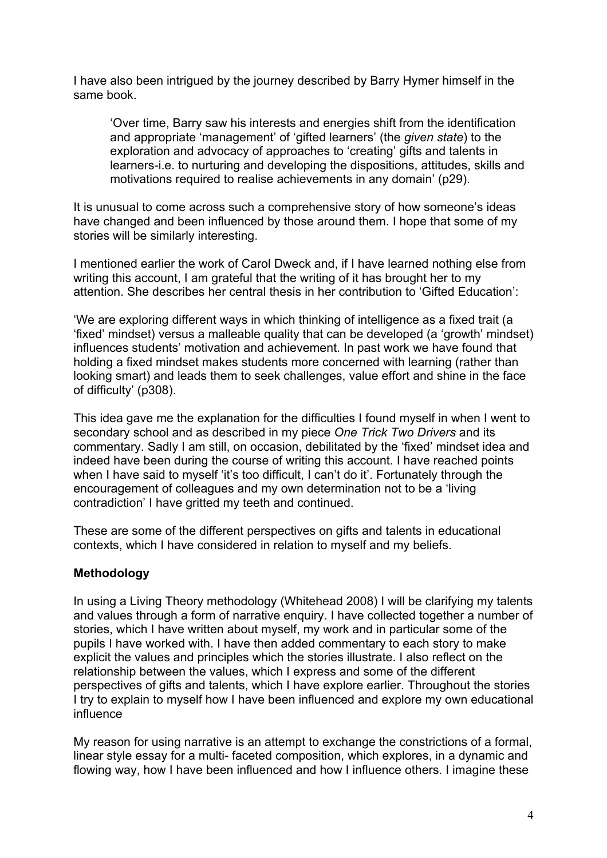I have also been intrigued by the journey described by Barry Hymer himself in the same book.

'Over time, Barry saw his interests and energies shift from the identification and appropriate 'management' of 'gifted learners' (the *given state*) to the exploration and advocacy of approaches to 'creating' gifts and talents in learners-i.e. to nurturing and developing the dispositions, attitudes, skills and motivations required to realise achievements in any domain' (p29).

It is unusual to come across such a comprehensive story of how someone's ideas have changed and been influenced by those around them. I hope that some of my stories will be similarly interesting.

I mentioned earlier the work of Carol Dweck and, if I have learned nothing else from writing this account, I am grateful that the writing of it has brought her to my attention. She describes her central thesis in her contribution to 'Gifted Education':

'We are exploring different ways in which thinking of intelligence as a fixed trait (a 'fixed' mindset) versus a malleable quality that can be developed (a 'growth' mindset) influences students' motivation and achievement. In past work we have found that holding a fixed mindset makes students more concerned with learning (rather than looking smart) and leads them to seek challenges, value effort and shine in the face of difficulty' (p308).

This idea gave me the explanation for the difficulties I found myself in when I went to secondary school and as described in my piece *One Trick Two Drivers* and its commentary. Sadly I am still, on occasion, debilitated by the 'fixed' mindset idea and indeed have been during the course of writing this account. I have reached points when I have said to myself 'it's too difficult, I can't do it'. Fortunately through the encouragement of colleagues and my own determination not to be a 'living contradiction' I have gritted my teeth and continued.

These are some of the different perspectives on gifts and talents in educational contexts, which I have considered in relation to myself and my beliefs.

## **Methodology**

In using a Living Theory methodology (Whitehead 2008) I will be clarifying my talents and values through a form of narrative enquiry. I have collected together a number of stories, which I have written about myself, my work and in particular some of the pupils I have worked with. I have then added commentary to each story to make explicit the values and principles which the stories illustrate. I also reflect on the relationship between the values, which I express and some of the different perspectives of gifts and talents, which I have explore earlier. Throughout the stories I try to explain to myself how I have been influenced and explore my own educational influence

My reason for using narrative is an attempt to exchange the constrictions of a formal, linear style essay for a multi- faceted composition, which explores, in a dynamic and flowing way, how I have been influenced and how I influence others. I imagine these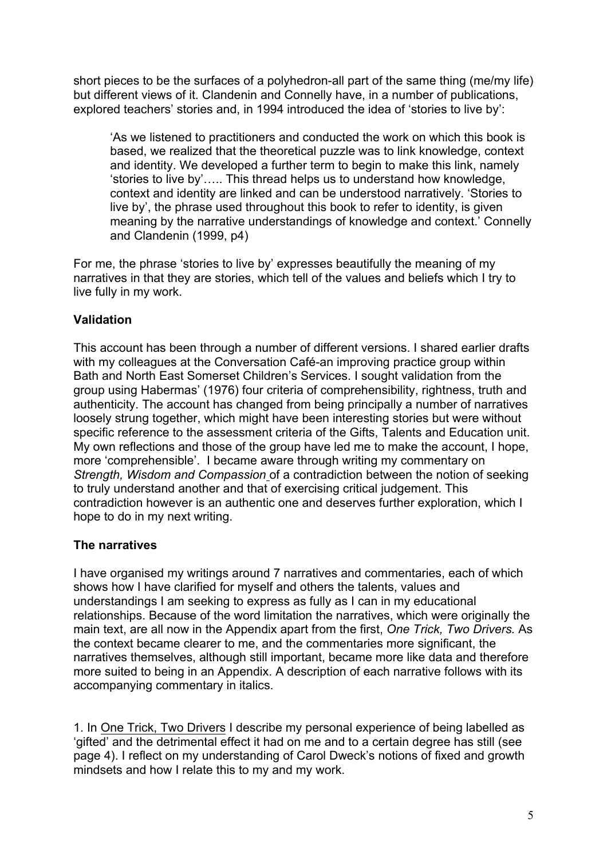short pieces to be the surfaces of a polyhedron-all part of the same thing (me/my life) but different views of it. Clandenin and Connelly have, in a number of publications, explored teachers' stories and, in 1994 introduced the idea of 'stories to live by':

'As we listened to practitioners and conducted the work on which this book is based, we realized that the theoretical puzzle was to link knowledge, context and identity. We developed a further term to begin to make this link, namely 'stories to live by'….. This thread helps us to understand how knowledge, context and identity are linked and can be understood narratively. 'Stories to live by', the phrase used throughout this book to refer to identity, is given meaning by the narrative understandings of knowledge and context.' Connelly and Clandenin (1999, p4)

For me, the phrase 'stories to live by' expresses beautifully the meaning of my narratives in that they are stories, which tell of the values and beliefs which I try to live fully in my work.

## **Validation**

This account has been through a number of different versions. I shared earlier drafts with my colleagues at the Conversation Café-an improving practice group within Bath and North East Somerset Children's Services. I sought validation from the group using Habermas' (1976) four criteria of comprehensibility, rightness, truth and authenticity. The account has changed from being principally a number of narratives loosely strung together, which might have been interesting stories but were without specific reference to the assessment criteria of the Gifts, Talents and Education unit. My own reflections and those of the group have led me to make the account, I hope, more 'comprehensible'. I became aware through writing my commentary on *Strength, Wisdom and Compassion* of a contradiction between the notion of seeking to truly understand another and that of exercising critical judgement. This contradiction however is an authentic one and deserves further exploration, which I hope to do in my next writing.

## **The narratives**

I have organised my writings around 7 narratives and commentaries, each of which shows how I have clarified for myself and others the talents, values and understandings I am seeking to express as fully as I can in my educational relationships. Because of the word limitation the narratives, which were originally the main text, are all now in the Appendix apart from the first, *One Trick, Two Drivers.* As the context became clearer to me, and the commentaries more significant, the narratives themselves, although still important, became more like data and therefore more suited to being in an Appendix. A description of each narrative follows with its accompanying commentary in italics.

1. In One Trick, Two Drivers I describe my personal experience of being labelled as 'gifted' and the detrimental effect it had on me and to a certain degree has still (see page 4). I reflect on my understanding of Carol Dweck's notions of fixed and growth mindsets and how I relate this to my and my work.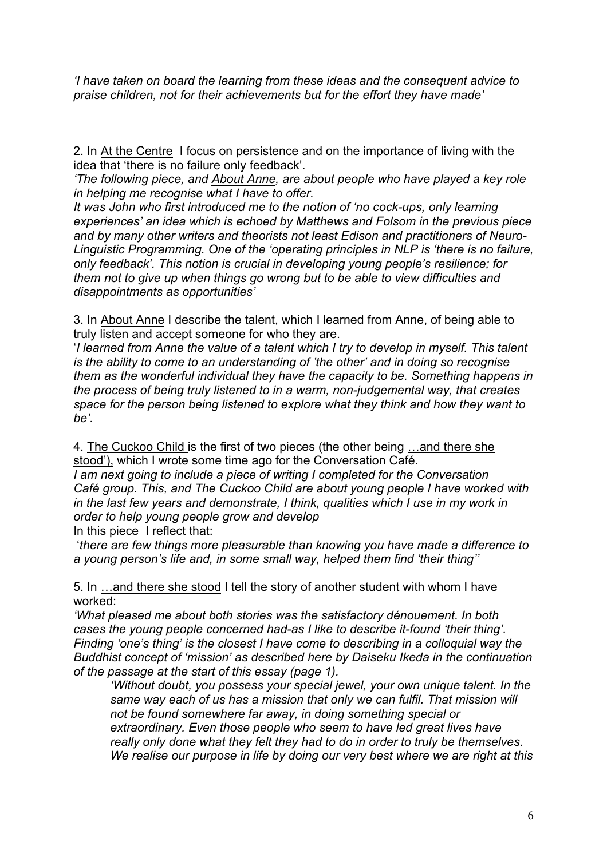*'I have taken on board the learning from these ideas and the consequent advice to praise children, not for their achievements but for the effort they have made'* 

2. In At the Centre I focus on persistence and on the importance of living with the idea that 'there is no failure only feedback'.

*'The following piece, and About Anne, are about people who have played a key role in helping me recognise what I have to offer.*

*It was John who first introduced me to the notion of 'no cock-ups, only learning experiences' an idea which is echoed by Matthews and Folsom in the previous piece and by many other writers and theorists not least Edison and practitioners of Neuro-Linguistic Programming. One of the 'operating principles in NLP is 'there is no failure, only feedback'. This notion is crucial in developing young people's resilience; for them not to give up when things go wrong but to be able to view difficulties and disappointments as opportunities'*

3. In About Anne I describe the talent, which I learned from Anne, of being able to truly listen and accept someone for who they are.

'*I learned from Anne the value of a talent which I try to develop in myself. This talent is the ability to come to an understanding of 'the other' and in doing so recognise them as the wonderful individual they have the capacity to be. Something happens in the process of being truly listened to in a warm, non-judgemental way, that creates space for the person being listened to explore what they think and how they want to be'.* 

4. The Cuckoo Child is the first of two pieces (the other being …and there she stood'), which I wrote some time ago for the Conversation Café.

*I am next going to include a piece of writing I completed for the Conversation Café group. This, and The Cuckoo Child are about young people I have worked with in the last few years and demonstrate, I think, qualities which I use in my work in order to help young people grow and develop* In this piece I reflect that:

'*there are few things more pleasurable than knowing you have made a difference to a young person's life and, in some small way, helped them find 'their thing''*

5. In …and there she stood I tell the story of another student with whom I have worked:

*'What pleased me about both stories was the satisfactory dénouement. In both cases the young people concerned had-as I like to describe it-found 'their thing'. Finding 'one's thing' is the closest I have come to describing in a colloquial way the Buddhist concept of 'mission' as described here by Daiseku Ikeda in the continuation of the passage at the start of this essay (page 1).*

*'Without doubt, you possess your special jewel, your own unique talent. In the same way each of us has a mission that only we can fulfil. That mission will not be found somewhere far away, in doing something special or extraordinary. Even those people who seem to have led great lives have really only done what they felt they had to do in order to truly be themselves. We realise our purpose in life by doing our very best where we are right at this*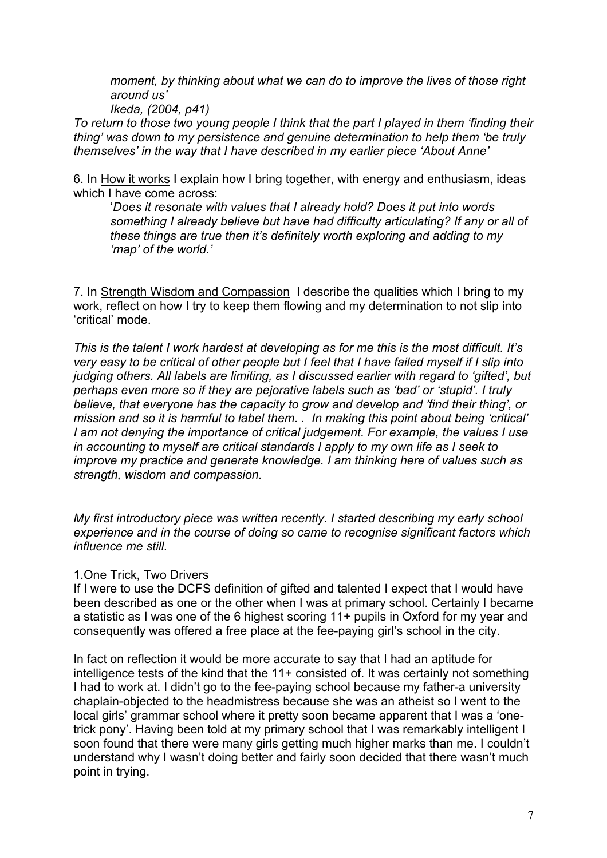*moment, by thinking about what we can do to improve the lives of those right around us'*

*Ikeda, (2004, p41)*

*To return to those two young people I think that the part I played in them 'finding their thing' was down to my persistence and genuine determination to help them 'be truly themselves' in the way that I have described in my earlier piece 'About Anne'*

6. In How it works I explain how I bring together, with energy and enthusiasm, ideas which I have come across:

'*Does it resonate with values that I already hold? Does it put into words something I already believe but have had difficulty articulating? If any or all of these things are true then it's definitely worth exploring and adding to my 'map' of the world.'*

7. In Strength Wisdom and Compassion I describe the qualities which I bring to my work, reflect on how I try to keep them flowing and my determination to not slip into 'critical' mode.

*This is the talent I work hardest at developing as for me this is the most difficult. It's very easy to be critical of other people but I feel that I have failed myself if I slip into judging others. All labels are limiting, as I discussed earlier with regard to 'gifted', but perhaps even more so if they are pejorative labels such as 'bad' or 'stupid'. I truly believe, that everyone has the capacity to grow and develop and 'find their thing', or mission and so it is harmful to label them. . In making this point about being 'critical' I am not denying the importance of critical judgement. For example, the values I use in accounting to myself are critical standards I apply to my own life as I seek to improve my practice and generate knowledge. I am thinking here of values such as strength, wisdom and compassion.* 

*My first introductory piece was written recently. I started describing my early school experience and in the course of doing so came to recognise significant factors which influence me still.*

#### 1.One Trick, Two Drivers

If I were to use the DCFS definition of gifted and talented I expect that I would have been described as one or the other when I was at primary school. Certainly I became a statistic as I was one of the 6 highest scoring 11+ pupils in Oxford for my year and consequently was offered a free place at the fee-paying girl's school in the city.

In fact on reflection it would be more accurate to say that I had an aptitude for intelligence tests of the kind that the 11+ consisted of. It was certainly not something I had to work at. I didn't go to the fee-paying school because my father-a university chaplain-objected to the headmistress because she was an atheist so I went to the local girls' grammar school where it pretty soon became apparent that I was a 'onetrick pony'. Having been told at my primary school that I was remarkably intelligent I soon found that there were many girls getting much higher marks than me. I couldn't understand why I wasn't doing better and fairly soon decided that there wasn't much point in trying.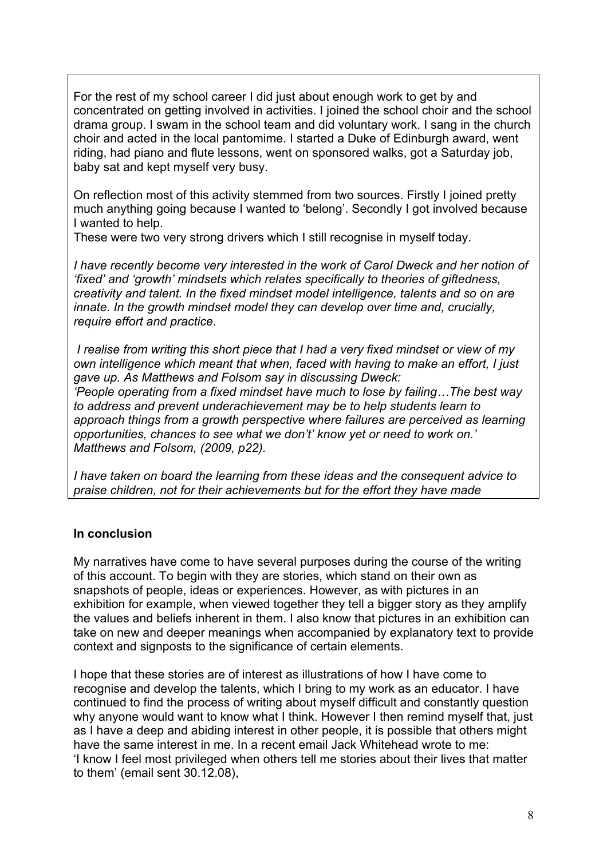For the rest of my school career I did just about enough work to get by and concentrated on getting involved in activities. I joined the school choir and the school drama group. I swam in the school team and did voluntary work. I sang in the church choir and acted in the local pantomime. I started a Duke of Edinburgh award, went riding, had piano and flute lessons, went on sponsored walks, got a Saturday job, baby sat and kept myself very busy.

On reflection most of this activity stemmed from two sources. Firstly I joined pretty much anything going because I wanted to 'belong'. Secondly I got involved because I wanted to help.

These were two very strong drivers which I still recognise in myself today.

*I have recently become very interested in the work of Carol Dweck and her notion of 'fixed' and 'growth' mindsets which relates specifically to theories of giftedness, creativity and talent. In the fixed mindset model intelligence, talents and so on are innate. In the growth mindset model they can develop over time and, crucially, require effort and practice.*

*I realise from writing this short piece that I had a very fixed mindset or view of my own intelligence which meant that when, faced with having to make an effort, I just gave up. As Matthews and Folsom say in discussing Dweck: 'People operating from a fixed mindset have much to lose by failing…The best way to address and prevent underachievement may be to help students learn to approach things from a growth perspective where failures are perceived as learning opportunities, chances to see what we don't' know yet or need to work on.' Matthews and Folsom, (2009, p22).*

*I have taken on board the learning from these ideas and the consequent advice to praise children, not for their achievements but for the effort they have made* 

#### **In conclusion**

My narratives have come to have several purposes during the course of the writing of this account. To begin with they are stories, which stand on their own as snapshots of people, ideas or experiences. However, as with pictures in an exhibition for example, when viewed together they tell a bigger story as they amplify the values and beliefs inherent in them. I also know that pictures in an exhibition can take on new and deeper meanings when accompanied by explanatory text to provide context and signposts to the significance of certain elements.

I hope that these stories are of interest as illustrations of how I have come to recognise and develop the talents, which I bring to my work as an educator. I have continued to find the process of writing about myself difficult and constantly question why anyone would want to know what I think. However I then remind myself that, just as I have a deep and abiding interest in other people, it is possible that others might have the same interest in me. In a recent email Jack Whitehead wrote to me: 'I know I feel most privileged when others tell me stories about their lives that matter to them' (email sent 30.12.08),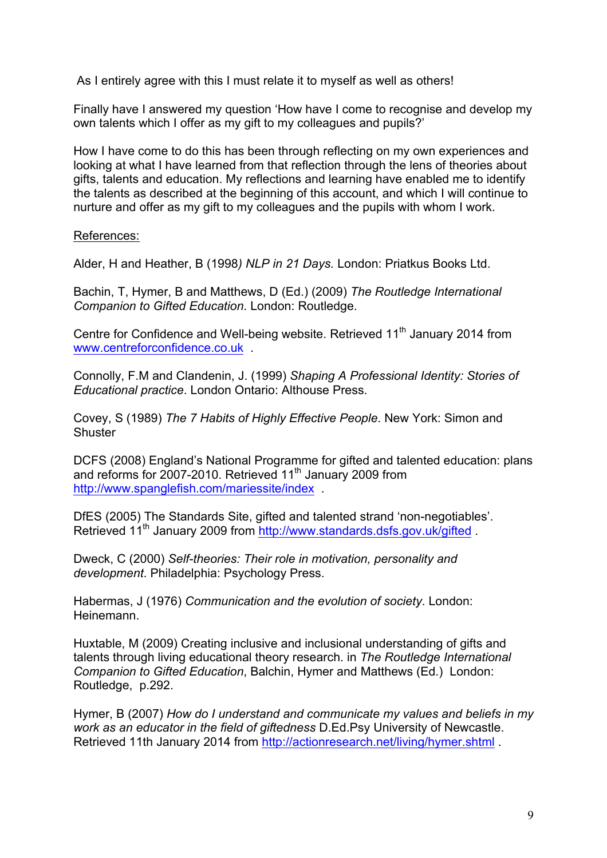As I entirely agree with this I must relate it to myself as well as others!

Finally have I answered my question 'How have I come to recognise and develop my own talents which I offer as my gift to my colleagues and pupils?'

How I have come to do this has been through reflecting on my own experiences and looking at what I have learned from that reflection through the lens of theories about gifts, talents and education. My reflections and learning have enabled me to identify the talents as described at the beginning of this account, and which I will continue to nurture and offer as my gift to my colleagues and the pupils with whom I work.

References:

Alder, H and Heather, B (1998*) NLP in 21 Days.* London: Priatkus Books Ltd.

Bachin, T, Hymer, B and Matthews, D (Ed.) (2009) *The Routledge International Companion to Gifted Education*. London: Routledge.

Centre for Confidence and Well-being website. Retrieved 11<sup>th</sup> January 2014 from www.centreforconfidence.co.uk .

Connolly, F.M and Clandenin, J. (1999) *Shaping A Professional Identity: Stories of Educational practice*. London Ontario: Althouse Press.

Covey, S (1989) *The 7 Habits of Highly Effective People*. New York: Simon and **Shuster** 

DCFS (2008) England's National Programme for gifted and talented education: plans and reforms for 2007-2010. Retrieved 11<sup>th</sup> January 2009 from http://www.spanglefish.com/mariessite/index .

DfES (2005) The Standards Site, gifted and talented strand 'non-negotiables'. Retrieved 11<sup>th</sup> January 2009 from http://www.standards.dsfs.gov.uk/gifted

Dweck, C (2000) *Self-theories: Their role in motivation, personality and development*. Philadelphia: Psychology Press.

Habermas, J (1976) *Communication and the evolution of society*. London: Heinemann.

Huxtable, M (2009) Creating inclusive and inclusional understanding of gifts and talents through living educational theory research. in *The Routledge International Companion to Gifted Education*, Balchin, Hymer and Matthews (Ed.) London: Routledge, p.292.

Hymer, B (2007) *How do I understand and communicate my values and beliefs in my work as an educator in the field of giftedness* D.Ed.Psy University of Newcastle. Retrieved 11th January 2014 from http://actionresearch.net/living/hymer.shtml .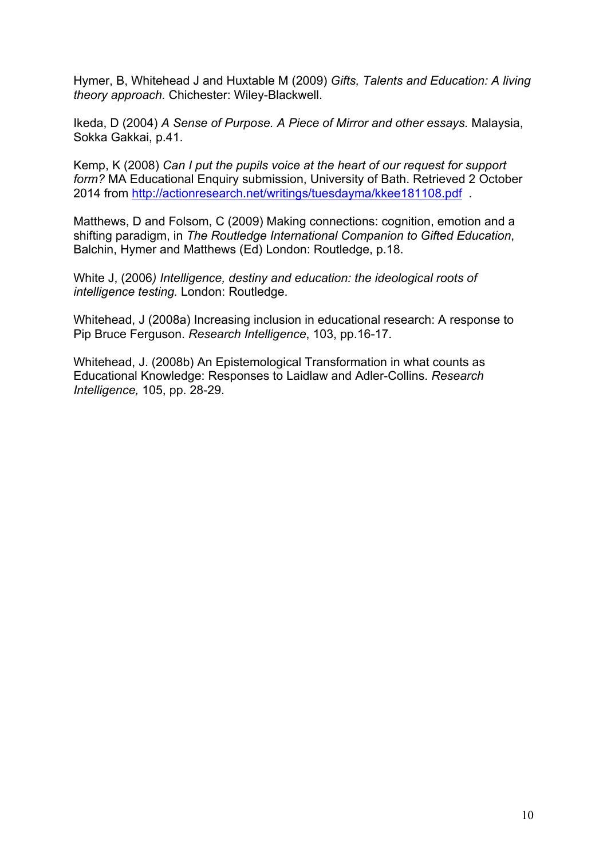Hymer, B, Whitehead J and Huxtable M (2009) *Gifts, Talents and Education: A living theory approach.* Chichester: Wiley-Blackwell.

Ikeda, D (2004) *A Sense of Purpose. A Piece of Mirror and other essays.* Malaysia, Sokka Gakkai, p.41.

Kemp, K (2008) *Can I put the pupils voice at the heart of our request for support form?* MA Educational Enquiry submission, University of Bath. Retrieved 2 October 2014 from http://actionresearch.net/writings/tuesdayma/kkee181108.pdf .

Matthews, D and Folsom, C (2009) Making connections: cognition, emotion and a shifting paradigm, in *The Routledge International Companion to Gifted Education*, Balchin, Hymer and Matthews (Ed) London: Routledge, p.18.

White J, (2006*) Intelligence, destiny and education: the ideological roots of intelligence testing.* London: Routledge.

Whitehead, J (2008a) Increasing inclusion in educational research: A response to Pip Bruce Ferguson. *Research Intelligence*, 103, pp.16-17.

Whitehead, J. (2008b) An Epistemological Transformation in what counts as Educational Knowledge: Responses to Laidlaw and Adler-Collins. *Research Intelligence,* 105, pp. 28-29.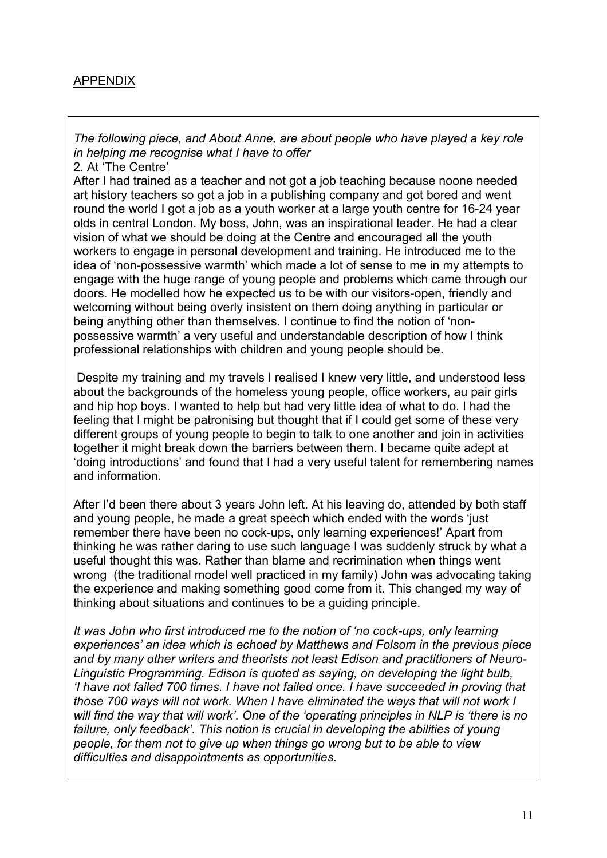# APPENDIX

*The following piece, and About Anne, are about people who have played a key role in helping me recognise what I have to offer*

2. At 'The Centre'

After I had trained as a teacher and not got a job teaching because noone needed art history teachers so got a job in a publishing company and got bored and went round the world I got a job as a youth worker at a large youth centre for 16-24 year olds in central London. My boss, John, was an inspirational leader. He had a clear vision of what we should be doing at the Centre and encouraged all the youth workers to engage in personal development and training. He introduced me to the idea of 'non-possessive warmth' which made a lot of sense to me in my attempts to engage with the huge range of young people and problems which came through our doors. He modelled how he expected us to be with our visitors-open, friendly and welcoming without being overly insistent on them doing anything in particular or being anything other than themselves. I continue to find the notion of 'nonpossessive warmth' a very useful and understandable description of how I think professional relationships with children and young people should be.

Despite my training and my travels I realised I knew very little, and understood less about the backgrounds of the homeless young people, office workers, au pair girls and hip hop boys. I wanted to help but had very little idea of what to do. I had the feeling that I might be patronising but thought that if I could get some of these very different groups of young people to begin to talk to one another and join in activities together it might break down the barriers between them. I became quite adept at 'doing introductions' and found that I had a very useful talent for remembering names and information.

After I'd been there about 3 years John left. At his leaving do, attended by both staff and young people, he made a great speech which ended with the words 'just remember there have been no cock-ups, only learning experiences!' Apart from thinking he was rather daring to use such language I was suddenly struck by what a useful thought this was. Rather than blame and recrimination when things went wrong (the traditional model well practiced in my family) John was advocating taking the experience and making something good come from it. This changed my way of thinking about situations and continues to be a guiding principle.

*It was John who first introduced me to the notion of 'no cock-ups, only learning experiences' an idea which is echoed by Matthews and Folsom in the previous piece and by many other writers and theorists not least Edison and practitioners of Neuro-Linguistic Programming. Edison is quoted as saying, on developing the light bulb, 'I have not failed 700 times. I have not failed once. I have succeeded in proving that those 700 ways will not work. When I have eliminated the ways that will not work I will find the way that will work'. One of the 'operating principles in NLP is 'there is no*  failure, only feedback'. This notion is crucial in developing the abilities of young *people, for them not to give up when things go wrong but to be able to view difficulties and disappointments as opportunities.*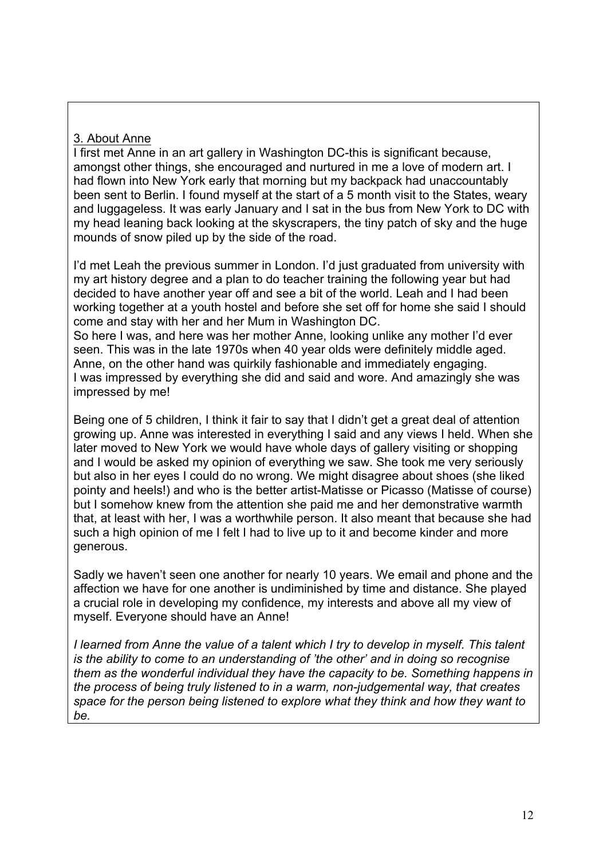# 3. About Anne

I first met Anne in an art gallery in Washington DC-this is significant because, amongst other things, she encouraged and nurtured in me a love of modern art. I had flown into New York early that morning but my backpack had unaccountably been sent to Berlin. I found myself at the start of a 5 month visit to the States, weary and luggageless. It was early January and I sat in the bus from New York to DC with my head leaning back looking at the skyscrapers, the tiny patch of sky and the huge mounds of snow piled up by the side of the road.

I'd met Leah the previous summer in London. I'd just graduated from university with my art history degree and a plan to do teacher training the following year but had decided to have another year off and see a bit of the world. Leah and I had been working together at a youth hostel and before she set off for home she said I should come and stay with her and her Mum in Washington DC. So here I was, and here was her mother Anne, looking unlike any mother I'd ever seen. This was in the late 1970s when 40 year olds were definitely middle aged.

Anne, on the other hand was quirkily fashionable and immediately engaging. I was impressed by everything she did and said and wore. And amazingly she was impressed by me!

Being one of 5 children, I think it fair to say that I didn't get a great deal of attention growing up. Anne was interested in everything I said and any views I held. When she later moved to New York we would have whole days of gallery visiting or shopping and I would be asked my opinion of everything we saw. She took me very seriously but also in her eyes I could do no wrong. We might disagree about shoes (she liked pointy and heels!) and who is the better artist-Matisse or Picasso (Matisse of course) but I somehow knew from the attention she paid me and her demonstrative warmth that, at least with her, I was a worthwhile person. It also meant that because she had such a high opinion of me I felt I had to live up to it and become kinder and more generous.

Sadly we haven't seen one another for nearly 10 years. We email and phone and the affection we have for one another is undiminished by time and distance. She played a crucial role in developing my confidence, my interests and above all my view of myself. Everyone should have an Anne!

*I learned from Anne the value of a talent which I try to develop in myself. This talent is the ability to come to an understanding of 'the other' and in doing so recognise them as the wonderful individual they have the capacity to be. Something happens in the process of being truly listened to in a warm, non-judgemental way, that creates space for the person being listened to explore what they think and how they want to be.*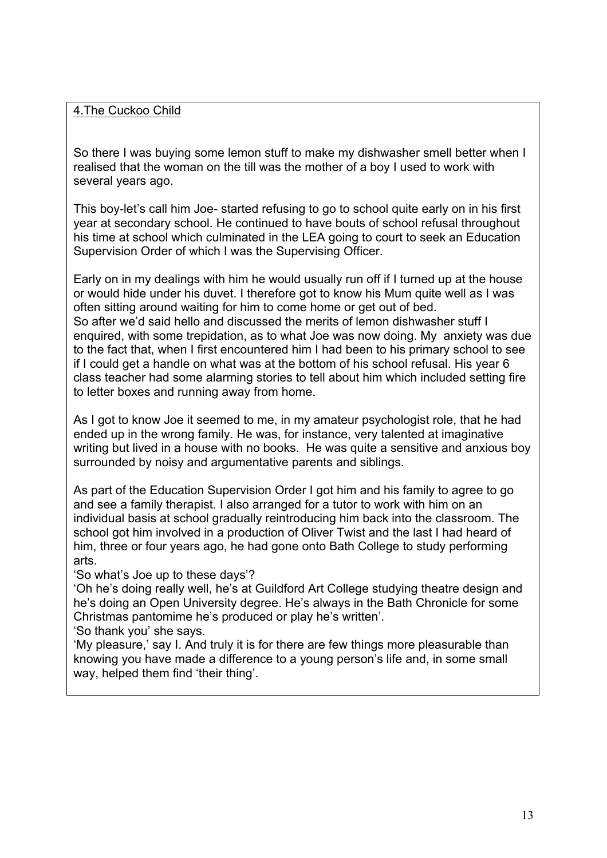### 4.The Cuckoo Child

So there I was buying some lemon stuff to make my dishwasher smell better when I realised that the woman on the till was the mother of a boy I used to work with several years ago.

This boy-let's call him Joe- started refusing to go to school quite early on in his first year at secondary school. He continued to have bouts of school refusal throughout his time at school which culminated in the LEA going to court to seek an Education Supervision Order of which I was the Supervising Officer.

Early on in my dealings with him he would usually run off if I turned up at the house or would hide under his duvet. I therefore got to know his Mum quite well as I was often sitting around waiting for him to come home or get out of bed. So after we'd said hello and discussed the merits of lemon dishwasher stuff I enquired, with some trepidation, as to what Joe was now doing. My anxiety was due to the fact that, when I first encountered him I had been to his primary school to see if I could get a handle on what was at the bottom of his school refusal. His year 6 class teacher had some alarming stories to tell about him which included setting fire to letter boxes and running away from home.

As I got to know Joe it seemed to me, in my amateur psychologist role, that he had ended up in the wrong family. He was, for instance, very talented at imaginative writing but lived in a house with no books. He was quite a sensitive and anxious boy surrounded by noisy and argumentative parents and siblings.

As part of the Education Supervision Order I got him and his family to agree to go and see a family therapist. I also arranged for a tutor to work with him on an individual basis at school gradually reintroducing him back into the classroom. The school got him involved in a production of Oliver Twist and the last I had heard of him, three or four years ago, he had gone onto Bath College to study performing arts.

'So what's Joe up to these days'?

'Oh he's doing really well, he's at Guildford Art College studying theatre design and he's doing an Open University degree. He's always in the Bath Chronicle for some Christmas pantomime he's produced or play he's written'.

'So thank you' she says.

'My pleasure,' say I. And truly it is for there are few things more pleasurable than knowing you have made a difference to a young person's life and, in some small way, helped them find 'their thing'.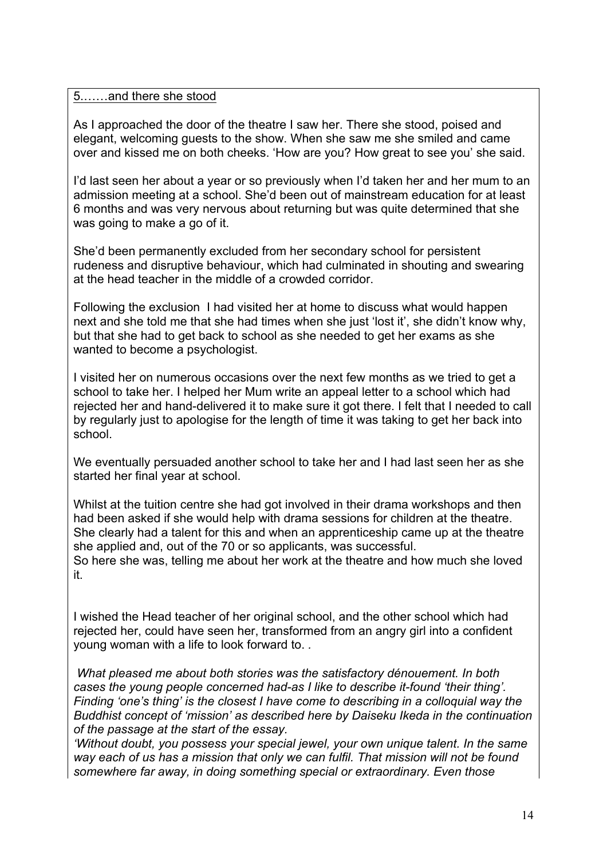#### 5.……and there she stood

As I approached the door of the theatre I saw her. There she stood, poised and elegant, welcoming guests to the show. When she saw me she smiled and came over and kissed me on both cheeks. 'How are you? How great to see you' she said.

I'd last seen her about a year or so previously when I'd taken her and her mum to an admission meeting at a school. She'd been out of mainstream education for at least 6 months and was very nervous about returning but was quite determined that she was going to make a go of it.

She'd been permanently excluded from her secondary school for persistent rudeness and disruptive behaviour, which had culminated in shouting and swearing at the head teacher in the middle of a crowded corridor.

Following the exclusion I had visited her at home to discuss what would happen next and she told me that she had times when she just 'lost it', she didn't know why, but that she had to get back to school as she needed to get her exams as she wanted to become a psychologist.

I visited her on numerous occasions over the next few months as we tried to get a school to take her. I helped her Mum write an appeal letter to a school which had rejected her and hand-delivered it to make sure it got there. I felt that I needed to call by regularly just to apologise for the length of time it was taking to get her back into school.

We eventually persuaded another school to take her and I had last seen her as she started her final year at school.

Whilst at the tuition centre she had got involved in their drama workshops and then had been asked if she would help with drama sessions for children at the theatre. She clearly had a talent for this and when an apprenticeship came up at the theatre she applied and, out of the 70 or so applicants, was successful.

So here she was, telling me about her work at the theatre and how much she loved it.

I wished the Head teacher of her original school, and the other school which had rejected her, could have seen her, transformed from an angry girl into a confident young woman with a life to look forward to. *.*

*What pleased me about both stories was the satisfactory dénouement. In both cases the young people concerned had-as I like to describe it-found 'their thing'. Finding 'one's thing' is the closest I have come to describing in a colloquial way the Buddhist concept of 'mission' as described here by Daiseku Ikeda in the continuation of the passage at the start of the essay.*

*'Without doubt, you possess your special jewel, your own unique talent. In the same way each of us has a mission that only we can fulfil. That mission will not be found somewhere far away, in doing something special or extraordinary. Even those*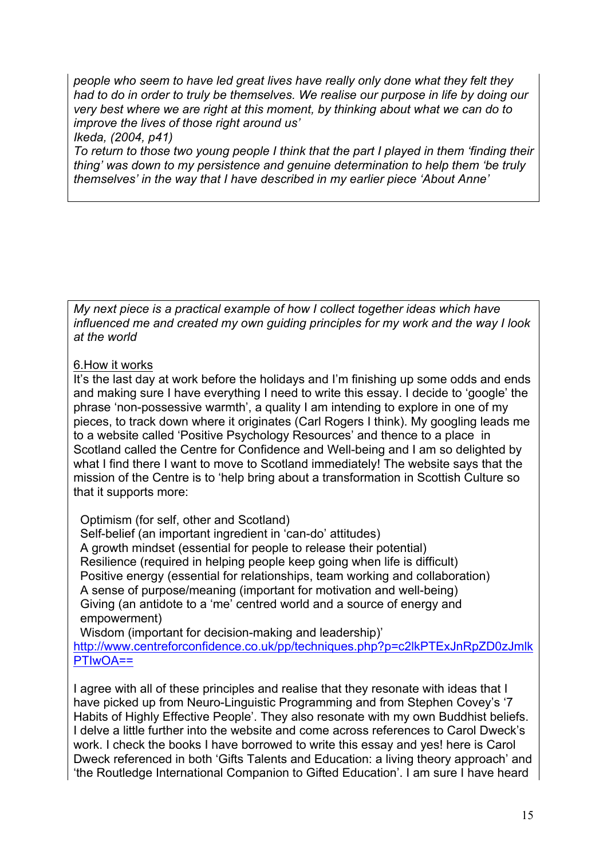*people who seem to have led great lives have really only done what they felt they had to do in order to truly be themselves. We realise our purpose in life by doing our very best where we are right at this moment, by thinking about what we can do to improve the lives of those right around us'*

*Ikeda, (2004, p41)*

*To return to those two young people I think that the part I played in them 'finding their thing' was down to my persistence and genuine determination to help them 'be truly themselves' in the way that I have described in my earlier piece 'About Anne'*

*My next piece is a practical example of how I collect together ideas which have influenced me and created my own guiding principles for my work and the way I look at the world* 

### 6.How it works

It's the last day at work before the holidays and I'm finishing up some odds and ends and making sure I have everything I need to write this essay. I decide to 'google' the phrase 'non-possessive warmth', a quality I am intending to explore in one of my pieces, to track down where it originates (Carl Rogers I think). My googling leads me to a website called 'Positive Psychology Resources' and thence to a place in Scotland called the Centre for Confidence and Well-being and I am so delighted by what I find there I want to move to Scotland immediately! The website says that the mission of the Centre is to 'help bring about a transformation in Scottish Culture so that it supports more:

Optimism (for self, other and Scotland)

 Self-belief (an important ingredient in 'can-do' attitudes) A growth mindset (essential for people to release their potential) Resilience (required in helping people keep going when life is difficult) Positive energy (essential for relationships, team working and collaboration) A sense of purpose/meaning (important for motivation and well-being) Giving (an antidote to a 'me' centred world and a source of energy and empowerment)

 Wisdom (important for decision-making and leadership)' http://www.centreforconfidence.co.uk/pp/techniques.php?p=c2lkPTExJnRpZD0zJmlk PTIwOA==

I agree with all of these principles and realise that they resonate with ideas that I have picked up from Neuro-Linguistic Programming and from Stephen Covey's '7 Habits of Highly Effective People'. They also resonate with my own Buddhist beliefs. I delve a little further into the website and come across references to Carol Dweck's work. I check the books I have borrowed to write this essay and yes! here is Carol Dweck referenced in both 'Gifts Talents and Education: a living theory approach' and 'the Routledge International Companion to Gifted Education'. I am sure I have heard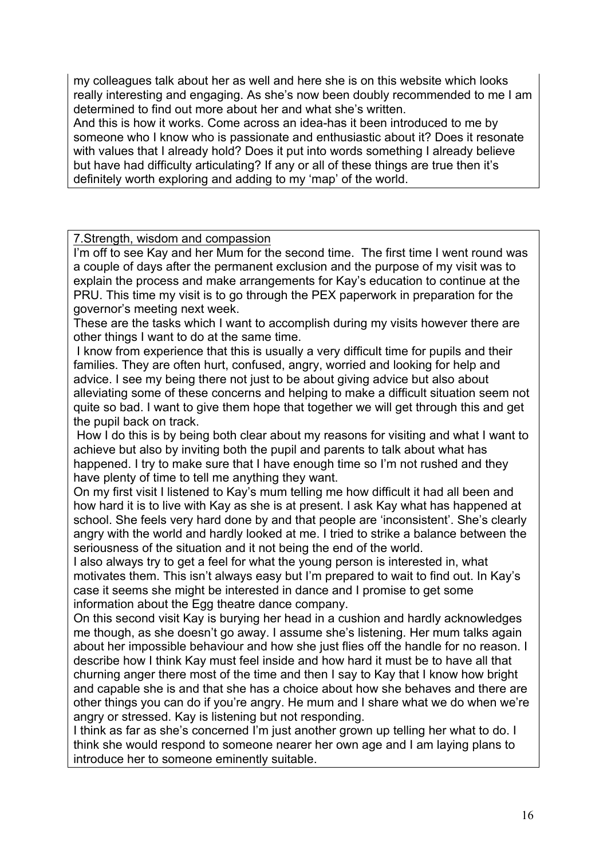my colleagues talk about her as well and here she is on this website which looks really interesting and engaging. As she's now been doubly recommended to me I am determined to find out more about her and what she's written.

And this is how it works. Come across an idea-has it been introduced to me by someone who I know who is passionate and enthusiastic about it? Does it resonate with values that I already hold? Does it put into words something I already believe but have had difficulty articulating? If any or all of these things are true then it's definitely worth exploring and adding to my 'map' of the world.

7.Strength, wisdom and compassion

I'm off to see Kay and her Mum for the second time. The first time I went round was a couple of days after the permanent exclusion and the purpose of my visit was to explain the process and make arrangements for Kay's education to continue at the PRU. This time my visit is to go through the PEX paperwork in preparation for the governor's meeting next week.

These are the tasks which I want to accomplish during my visits however there are other things I want to do at the same time.

I know from experience that this is usually a very difficult time for pupils and their families. They are often hurt, confused, angry, worried and looking for help and advice. I see my being there not just to be about giving advice but also about alleviating some of these concerns and helping to make a difficult situation seem not quite so bad. I want to give them hope that together we will get through this and get the pupil back on track.

How I do this is by being both clear about my reasons for visiting and what I want to achieve but also by inviting both the pupil and parents to talk about what has happened. I try to make sure that I have enough time so I'm not rushed and they have plenty of time to tell me anything they want.

On my first visit I listened to Kay's mum telling me how difficult it had all been and how hard it is to live with Kay as she is at present. I ask Kay what has happened at school. She feels very hard done by and that people are 'inconsistent'. She's clearly angry with the world and hardly looked at me. I tried to strike a balance between the seriousness of the situation and it not being the end of the world.

I also always try to get a feel for what the young person is interested in, what motivates them. This isn't always easy but I'm prepared to wait to find out. In Kay's case it seems she might be interested in dance and I promise to get some information about the Egg theatre dance company.

On this second visit Kay is burying her head in a cushion and hardly acknowledges me though, as she doesn't go away. I assume she's listening. Her mum talks again about her impossible behaviour and how she just flies off the handle for no reason. I describe how I think Kay must feel inside and how hard it must be to have all that churning anger there most of the time and then I say to Kay that I know how bright and capable she is and that she has a choice about how she behaves and there are other things you can do if you're angry. He mum and I share what we do when we're angry or stressed. Kay is listening but not responding.

I think as far as she's concerned I'm just another grown up telling her what to do. I think she would respond to someone nearer her own age and I am laying plans to introduce her to someone eminently suitable.